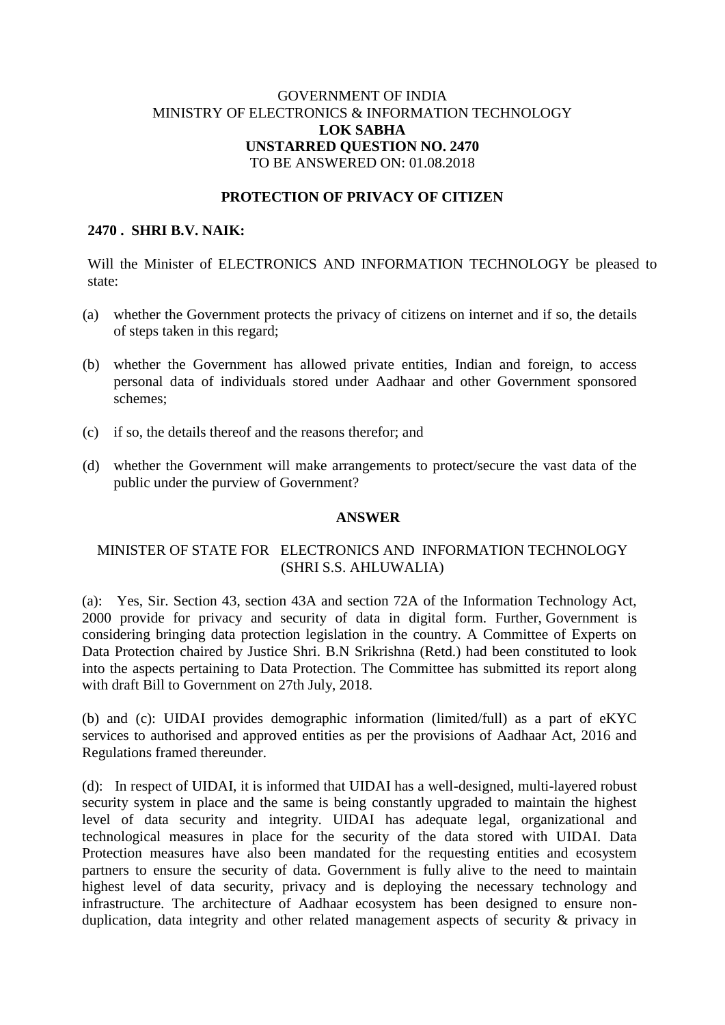# GOVERNMENT OF INDIA MINISTRY OF ELECTRONICS & INFORMATION TECHNOLOGY **LOK SABHA UNSTARRED QUESTION NO. 2470** TO BE ANSWERED ON: 01.08.2018

### **PROTECTION OF PRIVACY OF CITIZEN**

#### **2470 . SHRI B.V. NAIK:**

Will the Minister of ELECTRONICS AND INFORMATION TECHNOLOGY be pleased to state:

- (a) whether the Government protects the privacy of citizens on internet and if so, the details of steps taken in this regard;
- (b) whether the Government has allowed private entities, Indian and foreign, to access personal data of individuals stored under Aadhaar and other Government sponsored schemes;
- (c) if so, the details thereof and the reasons therefor; and
- (d) whether the Government will make arrangements to protect/secure the vast data of the public under the purview of Government?

### **ANSWER**

## MINISTER OF STATE FOR ELECTRONICS AND INFORMATION TECHNOLOGY (SHRI S.S. AHLUWALIA)

(a): Yes, Sir. Section 43, section 43A and section 72A of the Information Technology Act, 2000 provide for privacy and security of data in digital form. Further, Government is considering bringing data protection legislation in the country. A Committee of Experts on Data Protection chaired by Justice Shri. B.N Srikrishna (Retd.) had been constituted to look into the aspects pertaining to Data Protection. The Committee has submitted its report along with draft Bill to Government on 27th July, 2018.

(b) and (c): UIDAI provides demographic information (limited/full) as a part of eKYC services to authorised and approved entities as per the provisions of Aadhaar Act, 2016 and Regulations framed thereunder.

(d): In respect of UIDAI, it is informed that UIDAI has a well-designed, multi-layered robust security system in place and the same is being constantly upgraded to maintain the highest level of data security and integrity. UIDAI has adequate legal, organizational and technological measures in place for the security of the data stored with UIDAI. Data Protection measures have also been mandated for the requesting entities and ecosystem partners to ensure the security of data. Government is fully alive to the need to maintain highest level of data security, privacy and is deploying the necessary technology and infrastructure. The architecture of Aadhaar ecosystem has been designed to ensure nonduplication, data integrity and other related management aspects of security & privacy in